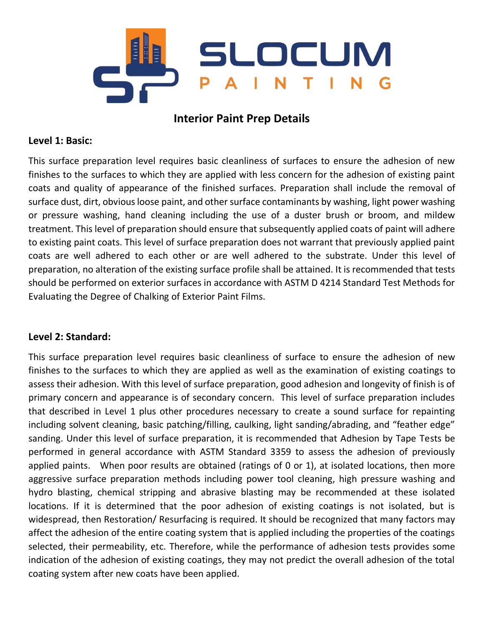

# **Interior Paint Prep Details**

# **Level 1: Basic:**

This surface preparation level requires basic cleanliness of surfaces to ensure the adhesion of new finishes to the surfaces to which they are applied with less concern for the adhesion of existing paint coats and quality of appearance of the finished surfaces. Preparation shall include the removal of surface dust, dirt, obvious loose paint, and other surface contaminants by washing, light power washing or pressure washing, hand cleaning including the use of a duster brush or broom, and mildew treatment. This level of preparation should ensure that subsequently applied coats of paint will adhere to existing paint coats. This level of surface preparation does not warrant that previously applied paint coats are well adhered to each other or are well adhered to the substrate. Under this level of preparation, no alteration of the existing surface profile shall be attained. It is recommended that tests should be performed on exterior surfaces in accordance with ASTM D 4214 Standard Test Methods for Evaluating the Degree of Chalking of Exterior Paint Films.

# **Level 2: Standard:**

This surface preparation level requires basic cleanliness of surface to ensure the adhesion of new finishes to the surfaces to which they are applied as well as the examination of existing coatings to assess their adhesion. With this level of surface preparation, good adhesion and longevity of finish is of primary concern and appearance is of secondary concern. This level of surface preparation includes that described in Level 1 plus other procedures necessary to create a sound surface for repainting including solvent cleaning, basic patching/filling, caulking, light sanding/abrading, and "feather edge" sanding. Under this level of surface preparation, it is recommended that Adhesion by Tape Tests be performed in general accordance with ASTM Standard 3359 to assess the adhesion of previously applied paints. When poor results are obtained (ratings of 0 or 1), at isolated locations, then more aggressive surface preparation methods including power tool cleaning, high pressure washing and hydro blasting, chemical stripping and abrasive blasting may be recommended at these isolated locations. If it is determined that the poor adhesion of existing coatings is not isolated, but is widespread, then Restoration/ Resurfacing is required. It should be recognized that many factors may affect the adhesion of the entire coating system that is applied including the properties of the coatings selected, their permeability, etc. Therefore, while the performance of adhesion tests provides some indication of the adhesion of existing coatings, they may not predict the overall adhesion of the total coating system after new coats have been applied.